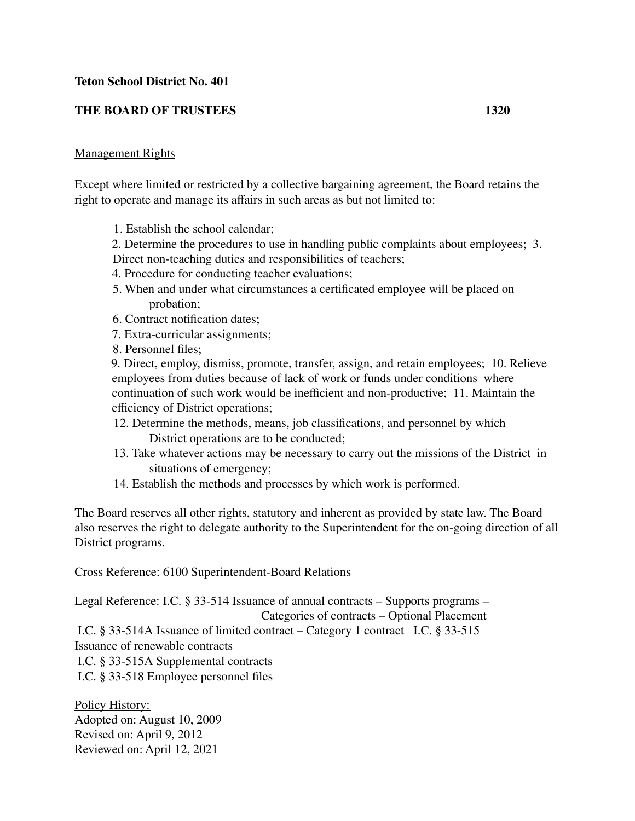## **Teton School District No. 401**

## **THE BOARD OF TRUSTEES 1320**

## Management Rights

Except where limited or restricted by a collective bargaining agreement, the Board retains the right to operate and manage its affairs in such areas as but not limited to:

- 1. Establish the school calendar;
- 2. Determine the procedures to use in handling public complaints about employees; 3. Direct non-teaching duties and responsibilities of teachers;
- 4. Procedure for conducting teacher evaluations;
- 5. When and under what circumstances a certificated employee will be placed on probation;
- 6. Contract notification dates;
- 7. Extra-curricular assignments;
- 8. Personnel files;

9. Direct, employ, dismiss, promote, transfer, assign, and retain employees; 10. Relieve employees from duties because of lack of work or funds under conditions where continuation of such work would be inefficient and non-productive; 11. Maintain the efficiency of District operations;

- 12. Determine the methods, means, job classifications, and personnel by which District operations are to be conducted;
- 13. Take whatever actions may be necessary to carry out the missions of the District in situations of emergency;
- 14. Establish the methods and processes by which work is performed.

The Board reserves all other rights, statutory and inherent as provided by state law. The Board also reserves the right to delegate authority to the Superintendent for the on-going direction of all District programs.

Cross Reference: 6100 Superintendent-Board Relations

Legal Reference: I.C. § 33-514 Issuance of annual contracts – Supports programs – Categories of contracts – Optional Placement I.C. § 33-514A Issuance of limited contract – Category 1 contract I.C. § 33-515 Issuance of renewable contracts I.C. § 33-515A Supplemental contracts I.C. § 33-518 Employee personnel files

Policy History: Adopted on: August 10, 2009 Revised on: April 9, 2012 Reviewed on: April 12, 2021